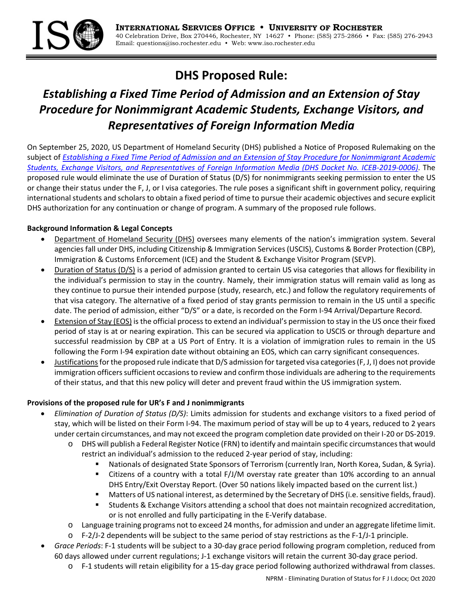

## **DHS Proposed Rule:**

# *Establishing a Fixed Time Period of Admission and an Extension of Stay Procedure for Nonimmigrant Academic Students, Exchange Visitors, and Representatives of Foreign Information Media*

On September 25, 2020, US Department of Homeland Security (DHS) published a Notice of Proposed Rulemaking on the subject of Establishing a Fixed Time Period of Admission and an Extension of Stay Procedure for Nonimmigrant Academic Students, Exchange Visitors, and Representatives of Foreign Information Media (DHS Docket No. ICEB-2019-0006). The proposed rule would eliminate the use of Duration of Status (D/S) for nonimmigrants seeking permission to enter the US or change their status under the F, J, or I visa categories. The rule poses a significant shift in government policy, requiring international students and scholars to obtain a fixed period of time to pursue their academic objectives and secure explicit DHS authorization for any continuation or change of program. A summary of the proposed rule follows.

#### **Background Information & Legal Concepts**

- Department of Homeland Security (DHS) oversees many elements of the nation's immigration system. Several agencies fall under DHS, including Citizenship & Immigration Services(USCIS), Customs & Border Protection (CBP), Immigration & Customs Enforcement (ICE) and the Student & Exchange Visitor Program (SEVP).
- Duration of Status (D/S) is a period of admission granted to certain US visa categories that allows for flexibility in the individual's permission to stay in the country. Namely, their immigration status will remain valid as long as they continue to pursue their intended purpose (study, research, etc.) and follow the regulatory requirements of that visa category. The alternative of a fixed period of stay grants permission to remain in the US until a specific date. The period of admission, either "D/S" or a date, is recorded on the Form I‐94 Arrival/Departure Record.
- Extension of Stay (EOS) isthe official processto extend an individual's permission to stay in the US once their fixed period of stay is at or nearing expiration. This can be secured via application to USCIS or through departure and successful readmission by CBP at a US Port of Entry. It is a violation of immigration rules to remain in the US following the Form I‐94 expiration date without obtaining an EOS, which can carry significant consequences.
- Justifications for the proposed rule indicate that D/S admission for targeted visa categories (F, J, I) does not provide immigration officers sufficient occasions to review and confirm those individuals are adhering to the requirements of their status, and that this new policy will deter and prevent fraud within the US immigration system.

## **Provisions of the proposed rule for UR's F and J nonimmigrants**

- *Elimination of Duration of Status (D/S)*: Limits admission for students and exchange visitors to a fixed period of stay, which will be listed on their Form I‐94. The maximum period of stay will be up to 4 years, reduced to 2 years under certain circumstances, and may not exceed the program completion date provided on their I‐20 or DS‐2019.
	- o DHS will publish a Federal Register Notice (FRN) to identify and maintain specific circumstancesthat would restrict an individual's admission to the reduced 2‐year period of stay, including:
		- Nationals of designated State Sponsors of Terrorism (currently Iran, North Korea, Sudan, & Syria).
		- Citizens of a country with a total F/J/M overstay rate greater than 10% according to an annual DHS Entry/Exit Overstay Report. (Over 50 nations likely impacted based on the current list.)
		- **Matters of US national interest, as determined by the Secretary of DHS (i.e. sensitive fields, fraud).**
		- Students & Exchange Visitors attending a school that does not maintain recognized accreditation, or is not enrolled and fully participating in the E‐Verify database.
	- o Language training programs not to exceed 24 months, for admission and under an aggregate lifetime limit.
	- o F‐2/J‐2 dependents will be subject to the same period of stay restrictions as the F‐1/J‐1 principle.
- *Grace Periods*: F‐1 students will be subject to a 30‐day grace period following program completion, reduced from 60 days allowed under current regulations; J‐1 exchange visitors will retain the current 30‐day grace period.
	- o F‐1 students will retain eligibility for a 15‐day grace period following authorized withdrawal from classes.